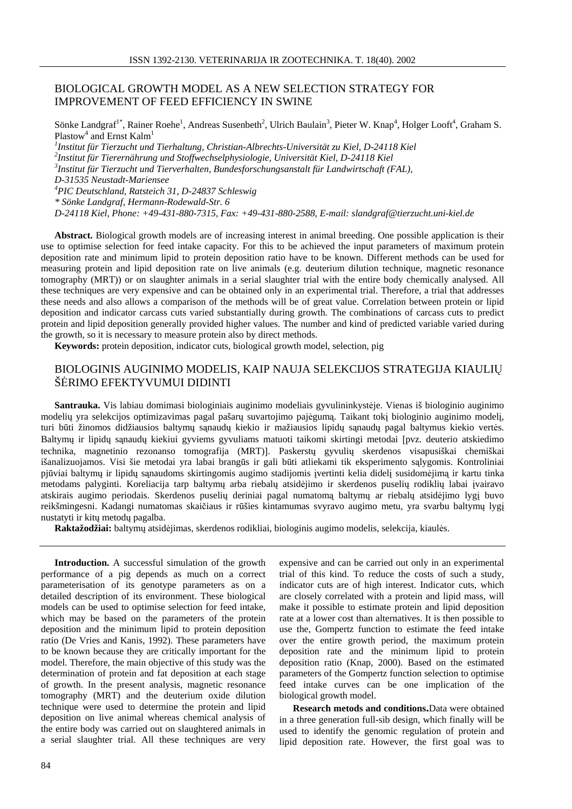# BIOLOGICAL GROWTH MODEL AS A NEW SELECTION STRATEGY FOR IMPROVEMENT OF FEED EFFICIENCY IN SWINE

Sönke Landgraf<sup>1\*</sup>, Rainer Roehe<sup>1</sup>, Andreas Susenbeth<sup>2</sup>, Ulrich Baulain<sup>3</sup>, Pieter W. Knap<sup>4</sup>, Holger Looft<sup>4</sup>, Graham S. Plastow<sup>4</sup> and Ernst Kalm<sup>1</sup> *1 Institut für Tierzucht und Tierhaltung, Christian-Albrechts-Universität zu Kiel, D-24118 Kiel 2 Institut für Tierernährung und Stoffwechselphysiologie, Universität Kiel, D-24118 Kiel 3 Institut für Tierzucht und Tierverhalten, Bundesforschungsanstalt für Landwirtschaft (FAL), D-31535 Neustadt-Mariensee <sup>4</sup>PIC Deutschland, Ratsteich 31, D-24837 Schleswig \* Sönke Landgraf, Hermann-Rodewald-Str. 6 D-24118 Kiel, Phone: +49-431-880-7315, Fax: +49-431-880-2588, E-mail: slandgraf@tierzucht.uni-kiel.de*

**Abstract.** Biological growth models are of increasing interest in animal breeding. One possible application is their use to optimise selection for feed intake capacity. For this to be achieved the input parameters of maximum protein deposition rate and minimum lipid to protein deposition ratio have to be known. Different methods can be used for measuring protein and lipid deposition rate on live animals (e.g. deuterium dilution technique, magnetic resonance tomography (MRT)) or on slaughter animals in a serial slaughter trial with the entire body chemically analysed. All these techniques are very expensive and can be obtained only in an experimental trial. Therefore, a trial that addresses these needs and also allows a comparison of the methods will be of great value. Correlation between protein or lipid deposition and indicator carcass cuts varied substantially during growth. The combinations of carcass cuts to predict protein and lipid deposition generally provided higher values. The number and kind of predicted variable varied during the growth, so it is necessary to measure protein also by direct methods.

**Keywords:** protein deposition, indicator cuts, biological growth model, selection, pig

## BIOLOGINIS AUGINIMO MODELIS, KAIP NAUJA SELEKCIJOS STRATEGIJA KIAULIŲ ŠĖRIMO EFEKTYVUMUI DIDINTI

**Santrauka.** Vis labiau domimasi biologiniais auginimo modeliais gyvulininkystėje. Vienas iš biologinio auginimo modelių yra selekcijos optimizavimas pagal pašarų suvartojimo pajėgumą. Taikant tokį biologinio auginimo modelį, turi būti žinomos didžiausios baltymų sąnaudų kiekio ir mažiausios lipidų sąnaudų pagal baltymus kiekio vertės. Baltymų ir lipidų sąnaudų kiekiui gyviems gyvuliams matuoti taikomi skirtingi metodai [pvz. deuterio atskiedimo technika, magnetinio rezonanso tomografija (MRT)]. Paskerstų gyvulių skerdenos visapusiškai chemiškai išanalizuojamos. Visi šie metodai yra labai brangūs ir gali būti atliekami tik eksperimento sąlygomis. Kontroliniai pjūviai baltymų ir lipidų sąnaudoms skirtingomis augimo stadijomis įvertinti kelia didelį susidomėjimą ir kartu tinka metodams palyginti. Koreliacija tarp baltymų arba riebalų atsidėjimo ir skerdenos puselių rodiklių labai įvairavo atskirais augimo periodais. Skerdenos puselių deriniai pagal numatomą baltymų ar riebalų atsidėjimo lygį buvo reikšmingesni. Kadangi numatomas skaičiaus ir rūšies kintamumas svyravo augimo metu, yra svarbu baltymų lygį nustatyti ir kitų metodų pagalba.

**Raktažodžiai:** baltymų atsidėjimas, skerdenos rodikliai, biologinis augimo modelis, selekcija, kiaulės.

**Introduction.** A successful simulation of the growth performance of a pig depends as much on a correct parameterisation of its genotype parameters as on a detailed description of its environment. These biological models can be used to optimise selection for feed intake, which may be based on the parameters of the protein deposition and the minimum lipid to protein deposition ratio (De Vries and Kanis, 1992). These parameters have to be known because they are critically important for the model. Therefore, the main objective of this study was the determination of protein and fat deposition at each stage of growth. In the present analysis, magnetic resonance tomography (MRT) and the deuterium oxide dilution technique were used to determine the protein and lipid deposition on live animal whereas chemical analysis of the entire body was carried out on slaughtered animals in a serial slaughter trial. All these techniques are very

expensive and can be carried out only in an experimental trial of this kind. To reduce the costs of such a study, indicator cuts are of high interest. Indicator cuts, which are closely correlated with a protein and lipid mass, will make it possible to estimate protein and lipid deposition rate at a lower cost than alternatives. It is then possible to use the, Gompertz function to estimate the feed intake over the entire growth period, the maximum protein deposition rate and the minimum lipid to protein deposition ratio (Knap, 2000). Based on the estimated parameters of the Gompertz function selection to optimise feed intake curves can be one implication of the biological growth model.

**Research metods and conditions.**Data were obtained in a three generation full-sib design, which finally will be used to identify the genomic regulation of protein and lipid deposition rate. However, the first goal was to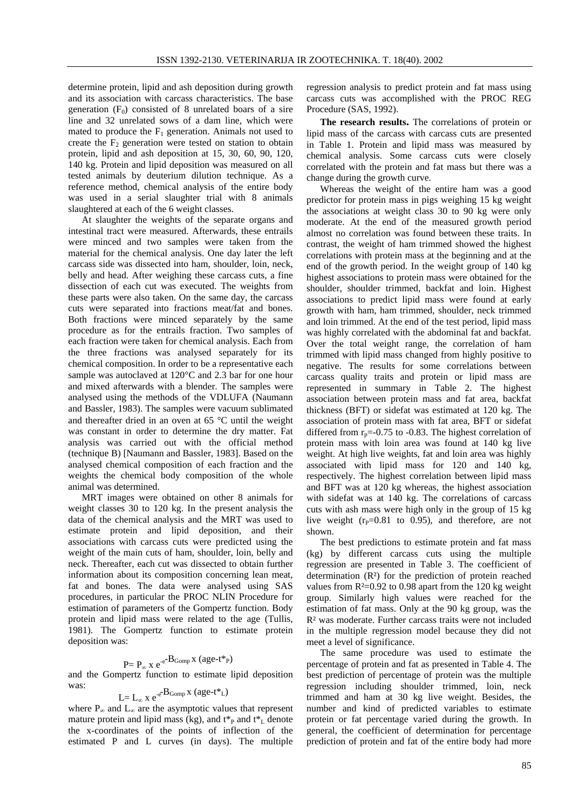determine protein, lipid and ash deposition during growth and its association with carcass characteristics. The base generation  $(F_0)$  consisted of 8 unrelated boars of a sire line and 32 unrelated sows of a dam line, which were mated to produce the  $F_1$  generation. Animals not used to create the  $F<sub>2</sub>$  generation were tested on station to obtain protein, lipid and ash deposition at 15, 30, 60, 90, 120, 140 kg. Protein and lipid deposition was measured on all tested animals by deuterium dilution technique. As a reference method, chemical analysis of the entire body was used in a serial slaughter trial with 8 animals slaughtered at each of the 6 weight classes.

At slaughter the weights of the separate organs and intestinal tract were measured. Afterwards, these entrails were minced and two samples were taken from the material for the chemical analysis. One day later the left carcass side was dissected into ham, shoulder, loin, neck, belly and head. After weighing these carcass cuts, a fine dissection of each cut was executed. The weights from these parts were also taken. On the same day, the carcass cuts were separated into fractions meat/fat and bones. Both fractions were minced separately by the same procedure as for the entrails fraction. Two samples of each fraction were taken for chemical analysis. Each from the three fractions was analysed separately for its chemical composition. In order to be a representative each sample was autoclaved at 120°C and 2.3 bar for one hour and mixed afterwards with a blender. The samples were analysed using the methods of the VDLUFA (Naumann and Bassler, 1983). The samples were vacuum sublimated and thereafter dried in an oven at 65 °C until the weight was constant in order to determine the dry matter. Fat analysis was carried out with the official method (technique B) [Naumann and Bassler, 1983]. Based on the analysed chemical composition of each fraction and the weights the chemical body composition of the whole animal was determined.

MRT images were obtained on other 8 animals for weight classes 30 to 120 kg. In the present analysis the data of the chemical analysis and the MRT was used to estimate protein and lipid deposition, and their associations with carcass cuts were predicted using the weight of the main cuts of ham, shoulder, loin, belly and neck. Thereafter, each cut was dissected to obtain further information about its composition concerning lean meat, fat and bones. The data were analysed using SAS procedures, in particular the PROC NLIN Procedure for estimation of parameters of the Gompertz function. Body protein and lipid mass were related to the age (Tullis, 1981). The Gompertz function to estimate protein deposition was:

# $P = P_{\infty} x e^{-e^{-t} B_{Gomp} x (age-t^*P)}$

and the Gompertz function to estimate lipid deposition was:

$$
L = L_{\infty} x e^{-e^{-\mathbf{B}_{Gomp}} x (age^{-t*}L)}
$$

where  $P_{\infty}$  and  $L_{\infty}$  are the asymptotic values that represent mature protein and lipid mass (kg), and  $t_{p}^{*}$  and  $t_{L}^{*}$  denote the x-coordinates of the points of inflection of the estimated P and L curves (in days). The multiple regression analysis to predict protein and fat mass using carcass cuts was accomplished with the PROC REG Procedure (SAS, 1992).

**The research results.** The correlations of protein or lipid mass of the carcass with carcass cuts are presented in Table 1. Protein and lipid mass was measured by chemical analysis. Some carcass cuts were closely correlated with the protein and fat mass but there was a change during the growth curve.

Whereas the weight of the entire ham was a good predictor for protein mass in pigs weighing 15 kg weight the associations at weight class 30 to 90 kg were only moderate. At the end of the measured growth period almost no correlation was found between these traits. In contrast, the weight of ham trimmed showed the highest correlations with protein mass at the beginning and at the end of the growth period. In the weight group of 140 kg highest associations to protein mass were obtained for the shoulder, shoulder trimmed, backfat and loin. Highest associations to predict lipid mass were found at early growth with ham, ham trimmed, shoulder, neck trimmed and loin trimmed. At the end of the test period, lipid mass was highly correlated with the abdominal fat and backfat. Over the total weight range, the correlation of ham trimmed with lipid mass changed from highly positive to negative. The results for some correlations between carcass quality traits and protein or lipid mass are represented in summary in Table 2. The highest association between protein mass and fat area, backfat thickness (BFT) or sidefat was estimated at 120 kg. The association of protein mass with fat area, BFT or sidefat differed from  $r_p = -0.75$  to  $-0.83$ . The highest correlation of protein mass with loin area was found at 140 kg live weight. At high live weights, fat and loin area was highly associated with lipid mass for 120 and 140 kg, respectively. The highest correlation between lipid mass and BFT was at 120 kg whereas, the highest association with sidefat was at 140 kg. The correlations of carcass cuts with ash mass were high only in the group of 15 kg live weight ( $r_P$ =0.81 to 0.95), and therefore, are not shown.

The best predictions to estimate protein and fat mass (kg) by different carcass cuts using the multiple regression are presented in Table 3. The coefficient of determination (R²) for the prediction of protein reached values from  $R<sup>2</sup>=0.92$  to 0.98 apart from the 120 kg weight group. Similarly high values were reached for the estimation of fat mass. Only at the 90 kg group, was the R² was moderate. Further carcass traits were not included in the multiple regression model because they did not meet a level of significance.

The same procedure was used to estimate the percentage of protein and fat as presented in Table 4. The best prediction of percentage of protein was the multiple regression including shoulder trimmed, loin, neck trimmed and ham at 30 kg live weight. Besides, the number and kind of predicted variables to estimate protein or fat percentage varied during the growth. In general, the coefficient of determination for percentage prediction of protein and fat of the entire body had more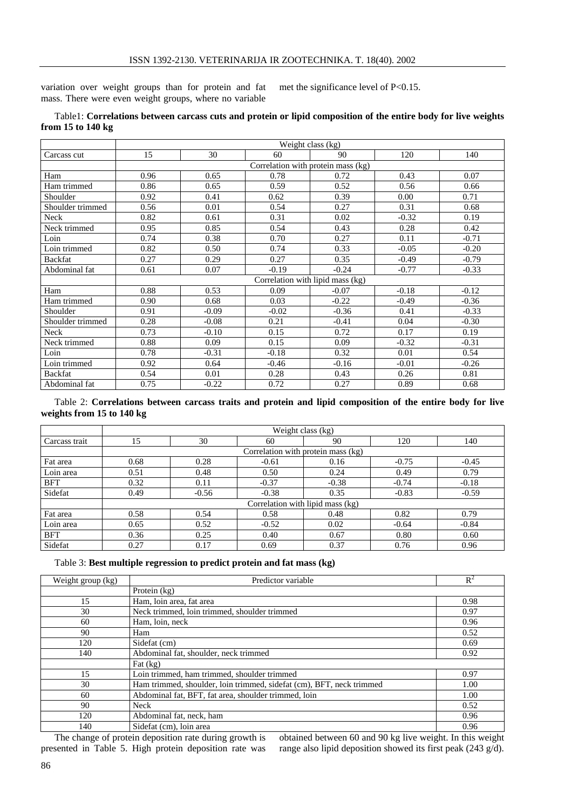variation over weight groups than for protein and fat mass. There were even weight groups, where no variable met the significance level of P<0.15.

### Table1: **Correlations between carcass cuts and protein or lipid composition of the entire body for live weights from 15 to 140 kg**

|                  | Weight class (kg)                  |         |         |                                    |         |         |  |  |
|------------------|------------------------------------|---------|---------|------------------------------------|---------|---------|--|--|
| Carcass cut      | 15                                 | 30      | 60      | 90                                 | 120     | 140     |  |  |
|                  | Correlation with protein mass (kg) |         |         |                                    |         |         |  |  |
| Ham              | 0.96                               | 0.65    | 0.78    | 0.72                               | 0.43    | 0.07    |  |  |
| Ham trimmed      | 0.86                               | 0.65    | 0.59    | 0.52                               | 0.56    | 0.66    |  |  |
| Shoulder         | 0.92                               | 0.41    | 0.62    | 0.39                               | 0.00    | 0.71    |  |  |
| Shoulder trimmed | 0.56                               | 0.01    | 0.54    | 0.27                               | 0.31    | 0.68    |  |  |
| Neck             | 0.82                               | 0.61    | 0.31    | 0.02                               | $-0.32$ | 0.19    |  |  |
| Neck trimmed     | 0.95                               | 0.85    | 0.54    | 0.43                               | 0.28    | 0.42    |  |  |
| Loin             | 0.74                               | 0.38    | 0.70    | 0.27                               | 0.11    | $-0.71$ |  |  |
| Loin trimmed     | 0.82                               | 0.50    | 0.74    | 0.33                               | $-0.05$ | $-0.20$ |  |  |
| Backfat          | 0.27                               | 0.29    | 0.27    | 0.35                               | $-0.49$ | $-0.79$ |  |  |
| Abdominal fat    | 0.61                               | 0.07    | $-0.19$ | $-0.24$                            | $-0.77$ | $-0.33$ |  |  |
|                  |                                    |         |         | Correlation with lipid mass $(kg)$ |         |         |  |  |
| Ham              | 0.88                               | 0.53    | 0.09    | $-0.07$                            | $-0.18$ | $-0.12$ |  |  |
| Ham trimmed      | 0.90                               | 0.68    | 0.03    | $-0.22$                            | $-0.49$ | $-0.36$ |  |  |
| Shoulder         | 0.91                               | $-0.09$ | $-0.02$ | $-0.36$                            | 0.41    | $-0.33$ |  |  |
| Shoulder trimmed | 0.28                               | $-0.08$ | 0.21    | $-0.41$                            | 0.04    | $-0.30$ |  |  |
| Neck             | 0.73                               | $-0.10$ | 0.15    | 0.72                               | 0.17    | 0.19    |  |  |
| Neck trimmed     | 0.88                               | 0.09    | 0.15    | 0.09                               | $-0.32$ | $-0.31$ |  |  |
| Loin             | 0.78                               | $-0.31$ | $-0.18$ | 0.32                               | 0.01    | 0.54    |  |  |
| Loin trimmed     | 0.92                               | 0.64    | $-0.46$ | $-0.16$                            | $-0.01$ | $-0.26$ |  |  |
| <b>Backfat</b>   | 0.54                               | 0.01    | 0.28    | 0.43                               | 0.26    | 0.81    |  |  |
| Abdominal fat    | 0.75                               | $-0.22$ | 0.72    | 0.27                               | 0.89    | 0.68    |  |  |

Table 2: **Correlations between carcass traits and protein and lipid composition of the entire body for live weights from 15 to 140 kg**

|               | Weight class (kg) |                                    |         |         |         |         |  |  |  |  |
|---------------|-------------------|------------------------------------|---------|---------|---------|---------|--|--|--|--|
| Carcass trait | 15                | 30                                 | 60      | 90      | 120     | 140     |  |  |  |  |
|               |                   | Correlation with protein mass (kg) |         |         |         |         |  |  |  |  |
| Fat area      | 0.68              | 0.28                               | $-0.61$ | 0.16    | $-0.75$ | $-0.45$ |  |  |  |  |
| Loin area     | 0.51              | 0.48                               | 0.50    | 0.24    | 0.49    | 0.79    |  |  |  |  |
| <b>BFT</b>    | 0.32              | 0.11                               | $-0.37$ | $-0.38$ | $-0.74$ | $-0.18$ |  |  |  |  |
| Sidefat       | 0.49              | $-0.56$                            | $-0.38$ | 0.35    | $-0.83$ | $-0.59$ |  |  |  |  |
|               |                   | Correlation with lipid mass (kg)   |         |         |         |         |  |  |  |  |
| Fat area      | 0.58              | 0.54                               | 0.58    | 0.48    | 0.82    | 0.79    |  |  |  |  |
| Loin area     | 0.65              | 0.52                               | $-0.52$ | 0.02    | $-0.64$ | $-0.84$ |  |  |  |  |
| BFT           | 0.36              | 0.25                               | 0.40    | 0.67    | 0.80    | 0.60    |  |  |  |  |
| Sidefat       | 0.27              | 0.17                               | 0.69    | 0.37    | 0.76    | 0.96    |  |  |  |  |

Table 3: **Best multiple regression to predict protein and fat mass (kg)**

| Weight group (kg) | Predictor variable                                                   | $R^2$ |
|-------------------|----------------------------------------------------------------------|-------|
|                   | Protein (kg)                                                         |       |
| 15                | Ham, loin area, fat area                                             | 0.98  |
| 30                | Neck trimmed, loin trimmed, shoulder trimmed                         | 0.97  |
| 60                | Ham, loin, neck                                                      | 0.96  |
| 90                | Ham                                                                  | 0.52  |
| 120               | Sidefat (cm)                                                         | 0.69  |
| 140               | Abdominal fat, shoulder, neck trimmed                                | 0.92  |
|                   | Fat $(kg)$                                                           |       |
| 15                | Loin trimmed, ham trimmed, shoulder trimmed                          | 0.97  |
| 30                | Ham trimmed, shoulder, loin trimmed, sidefat (cm), BFT, neck trimmed | 1.00  |
| 60                | Abdominal fat, BFT, fat area, shoulder trimmed, loin                 | 1.00  |
| 90                | <b>Neck</b>                                                          | 0.52  |
| 120               | Abdominal fat, neck, ham                                             | 0.96  |
| 140               | Sidefat (cm), loin area                                              | 0.96  |

The change of protein deposition rate during growth is presented in Table 5. High protein deposition rate was obtained between 60 and 90 kg live weight. In this weight range also lipid deposition showed its first peak (243 g/d).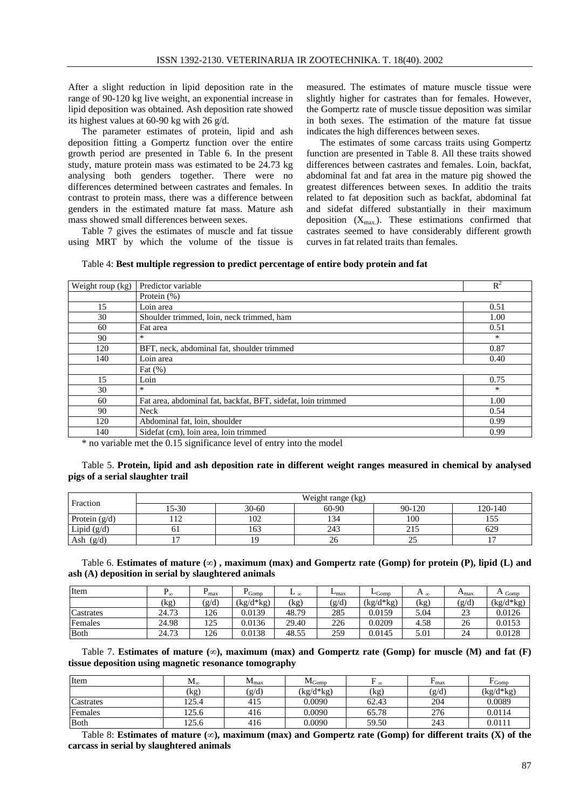After a slight reduction in lipid deposition rate in the range of 90-120 kg live weight, an exponential increase in lipid deposition was obtained. Ash deposition rate showed its highest values at 60-90 kg with 26 g/d.

The parameter estimates of protein, lipid and ash deposition fitting a Gompertz function over the entire growth period are presented in Table 6. In the present study, mature protein mass was estimated to be 24.73 kg analysing both genders together. There were no differences determined between castrates and females. In contrast to protein mass, there was a difference between genders in the estimated mature fat mass. Mature ash mass showed small differences between sexes.

Table 7 gives the estimates of muscle and fat tissue using MRT by which the volume of the tissue is measured. The estimates of mature muscle tissue were slightly higher for castrates than for females. However, the Gompertz rate of muscle tissue deposition was similar in both sexes. The estimation of the mature fat tissue indicates the high differences between sexes.

The estimates of some carcass traits using Gompertz function are presented in Table 8. All these traits showed differences between castrates and females. Loin, backfat, abdominal fat and fat area in the mature pig showed the greatest differences between sexes. In additio the traits related to fat deposition such as backfat, abdominal fat and sidefat differed substantially in their maximum deposition  $(X_{max})$ . These estimations confirmed that castrates seemed to have considerably different growth curves in fat related traits than females.

| Table 4: Best multiple regression to predict percentage of entire body protein and fat |  |
|----------------------------------------------------------------------------------------|--|
|                                                                                        |  |

| Weight roup (kg) | Predictor variable                                           | $R^2$ |
|------------------|--------------------------------------------------------------|-------|
|                  | Protein (%)                                                  |       |
| 15               | Loin area                                                    | 0.51  |
| 30               | Shoulder trimmed, loin, neck trimmed, ham                    | 1.00  |
| 60               | Fat area                                                     | 0.51  |
| 90               | $*$                                                          | *     |
| 120              | BFT, neck, abdominal fat, shoulder trimmed                   | 0.87  |
| 140              | Loin area                                                    | 0.40  |
|                  | Fat $(\%)$                                                   |       |
| 15               | Loin                                                         | 0.75  |
| 30               | $*$                                                          | *     |
| 60               | Fat area, abdominal fat, backfat, BFT, sidefat, loin trimmed | 1.00  |
| 90               | Neck                                                         | 0.54  |
| 120              | Abdominal fat, loin, shoulder                                | 0.99  |
| 140              | Sidefat (cm), loin area, loin trimmed                        | 0.99  |

\* no variable met the 0.15 significance level of entry into the model

#### Table 5. **Protein, lipid and ash deposition rate in different weight ranges measured in chemical by analysed pigs of a serial slaughter trail**

| Fraction        | Weight range (kg) |           |           |                    |         |  |  |  |
|-----------------|-------------------|-----------|-----------|--------------------|---------|--|--|--|
|                 | 15-30             | $30 - 60$ | $60 - 90$ | 90-120             | 120-140 |  |  |  |
| Protein $(g/d)$ |                   | 102       | 134       | 100                | 155     |  |  |  |
| Lipid $(g/d)$   |                   | 163       | 243       | 215                | 629     |  |  |  |
| (g/d)<br>Ash    |                   | ۱۹        | 20        | $\sim$ $\sim$<br>ت |         |  |  |  |

Table 6. Estimates of mature  $(\infty)$ , maximum (max) and Gompertz rate (Gomp) for protein (P), lipid (L) and **ash (A) deposition in serial by slaughtered animals**

| Item      | ⊥∞    | max   | Gomp        | ⊥∞    | $L_{\text{max}}$ | $L_{\text{Gomp}}$ | $A_{\infty}$ | $\mathbf{m}_{\text{max}}$ | Gomp        |
|-----------|-------|-------|-------------|-------|------------------|-------------------|--------------|---------------------------|-------------|
|           | (kg   | (g/d) | $(kg/d*kg)$ | (kg)  | (g/d)            | $(kg/d*kg)$       | (kg)         | (g/d)                     | $(kg/d*kg)$ |
| Castrates | 24.73 | 126   | 0.0139      | 48.79 | 285              | 0.0159            | 5.04         | 23                        | 0.0126      |
| Females   | 24.98 | 125   | 0.0136      | 29.40 | 226              | 0.0209            | 4.58         | 26                        | 0.0153      |
| Both      | 24.73 | 126   | 0.0138      | 48.55 | 259              | 0.0145            | 5.01         | 24                        | 0.0128      |

Table 7. **Estimates** of **mature**  $(\infty)$ , **maximum** (max) and Gompertz rate (Gomp) for muscle (M) and fat (F) **tissue deposition using magnetic resonance tomography**

| Item         | $\rm M_{\infty}$         | $M_{\rm max}$ | $M_{Gomo}$  | $\infty$ | $\mathbf{r}$ max | Gomp <sup>-</sup> |
|--------------|--------------------------|---------------|-------------|----------|------------------|-------------------|
|              | $\left(\text{kg}\right)$ | (g/d)         | $(kg/d*kg)$ | (kg)     | (g/d)            | $(kg/d*kg)$       |
| Castrates    | 125.4                    | 415           | 0.0090      | 62.43    | 204              | 0.0089            |
| Females      | 125.6                    | 416           | 0.0090      | 65.78    | 276              | 0.0114            |
| <b>B</b> oth | 125.6                    | 416           | 0.0090      | 59.50    | 243              | 0.0111            |

Table 8: **Estimates of mature (**∞**), maximum (max) and Gompertz rate (Gomp) for different traits (X) of the carcass in serial by slaughtered animals**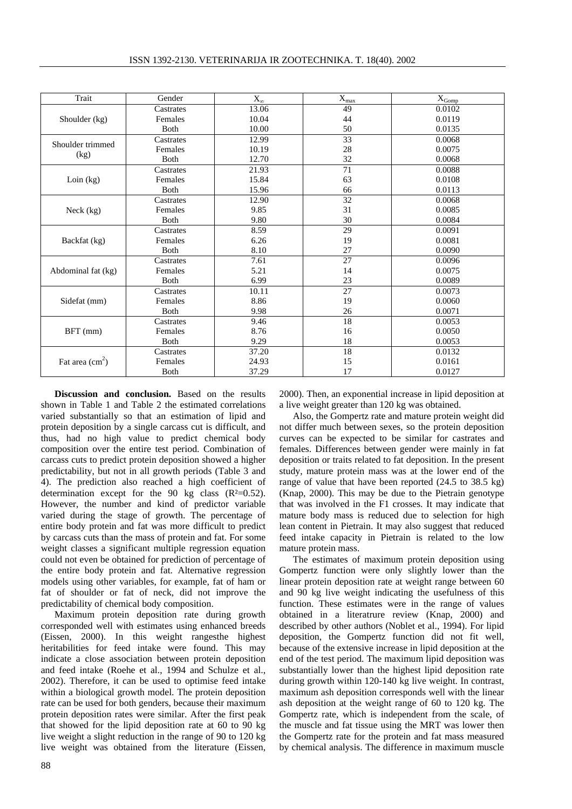| Trait                    | Gender       | $X_{\infty}$ | $\mathbf{X}_{\text{max}}$ | $\mathbf{X}_{\text{Gomp}}$ |
|--------------------------|--------------|--------------|---------------------------|----------------------------|
|                          | Castrates    | 13.06        | 49                        | 0.0102                     |
| Shoulder (kg)            | Females      | 10.04        | 44                        | 0.0119                     |
|                          | <b>B</b> oth | 10.00        | 50                        | 0.0135                     |
| Shoulder trimmed         | Castrates    | 12.99        | 33                        | 0.0068                     |
|                          | Females      | 10.19        | 28                        | 0.0075                     |
| (kg)                     | <b>B</b> oth | 12.70        | 32                        | 0.0068                     |
|                          | Castrates    | 21.93        | 71                        | 0.0088                     |
| Loin $(kg)$              | Females      | 15.84        | 63                        | 0.0108                     |
|                          | <b>B</b> oth | 15.96        | 66                        | 0.0113                     |
|                          | Castrates    | 12.90        | 32                        | 0.0068                     |
| Neck (kg)                | Females      | 9.85         | 31                        | 0.0085                     |
|                          | <b>B</b> oth | 9.80         | 30                        | 0.0084                     |
|                          | Castrates    | 8.59         | 29                        | 0.0091                     |
| Backfat (kg)             | Females      | 6.26         | 19                        | 0.0081                     |
|                          | <b>B</b> oth | 8.10         | 27                        | 0.0090                     |
|                          | Castrates    | 7.61         | 27                        | 0.0096                     |
| Abdominal fat (kg)       | Females      | 5.21         | 14                        | 0.0075                     |
|                          | <b>B</b> oth | 6.99         | 23                        | 0.0089                     |
|                          | Castrates    | 10.11        | 27                        | 0.0073                     |
| Sidefat (mm)             | Females      | 8.86         | 19                        | 0.0060                     |
|                          | <b>B</b> oth | 9.98         | 26                        | 0.0071                     |
|                          | Castrates    | 9.46         | 18                        | 0.0053                     |
| BFT (mm)                 | Females      | 8.76         | 16                        | 0.0050                     |
|                          | <b>B</b> oth | 9.29         | 18                        | 0.0053                     |
|                          | Castrates    | 37.20        | 18                        | 0.0132                     |
| Fat area $\text{cm}^2$ ) | Females      | 24.93        | 15                        | 0.0161                     |
|                          | <b>B</b> oth | 37.29        | 17                        | 0.0127                     |

**Discussion and conclusion.** Based on the results shown in Table 1 and Table 2 the estimated correlations varied substantially so that an estimation of lipid and protein deposition by a single carcass cut is difficult, and thus, had no high value to predict chemical body composition over the entire test period. Combination of carcass cuts to predict protein deposition showed a higher predictability, but not in all growth periods (Table 3 and 4). The prediction also reached a high coefficient of determination except for the 90 kg class  $(R<sup>2</sup>=0.52)$ . However, the number and kind of predictor variable varied during the stage of growth. The percentage of entire body protein and fat was more difficult to predict by carcass cuts than the mass of protein and fat. For some weight classes a significant multiple regression equation could not even be obtained for prediction of percentage of the entire body protein and fat. Alternative regression models using other variables, for example, fat of ham or fat of shoulder or fat of neck, did not improve the predictability of chemical body composition.

Maximum protein deposition rate during growth corresponded well with estimates using enhanced breeds (Eissen, 2000). In this weight rangesthe highest heritabilities for feed intake were found. This may indicate a close association between protein deposition and feed intake (Roehe et al., 1994 and Schulze et al., 2002). Therefore, it can be used to optimise feed intake within a biological growth model. The protein deposition rate can be used for both genders, because their maximum protein deposition rates were similar. After the first peak that showed for the lipid deposition rate at 60 to 90 kg live weight a slight reduction in the range of 90 to 120 kg live weight was obtained from the literature (Eissen, 2000). Then, an exponential increase in lipid deposition at a live weight greater than 120 kg was obtained.

Also, the Gompertz rate and mature protein weight did not differ much between sexes, so the protein deposition curves can be expected to be similar for castrates and females. Differences between gender were mainly in fat deposition or traits related to fat deposition. In the present study, mature protein mass was at the lower end of the range of value that have been reported (24.5 to 38.5 kg) (Knap, 2000). This may be due to the Pietrain genotype that was involved in the F1 crosses. It may indicate that mature body mass is reduced due to selection for high lean content in Pietrain. It may also suggest that reduced feed intake capacity in Pietrain is related to the low mature protein mass.

The estimates of maximum protein deposition using Gompertz function were only slightly lower than the linear protein deposition rate at weight range between 60 and 90 kg live weight indicating the usefulness of this function. These estimates were in the range of values obtained in a literatrure review (Knap, 2000) and described by other authors (Noblet et al., 1994). For lipid deposition, the Gompertz function did not fit well, because of the extensive increase in lipid deposition at the end of the test period. The maximum lipid deposition was substantially lower than the highest lipid deposition rate during growth within 120-140 kg live weight. In contrast, maximum ash deposition corresponds well with the linear ash deposition at the weight range of 60 to 120 kg. The Gompertz rate, which is independent from the scale, of the muscle and fat tissue using the MRT was lower then the Gompertz rate for the protein and fat mass measured by chemical analysis. The difference in maximum muscle